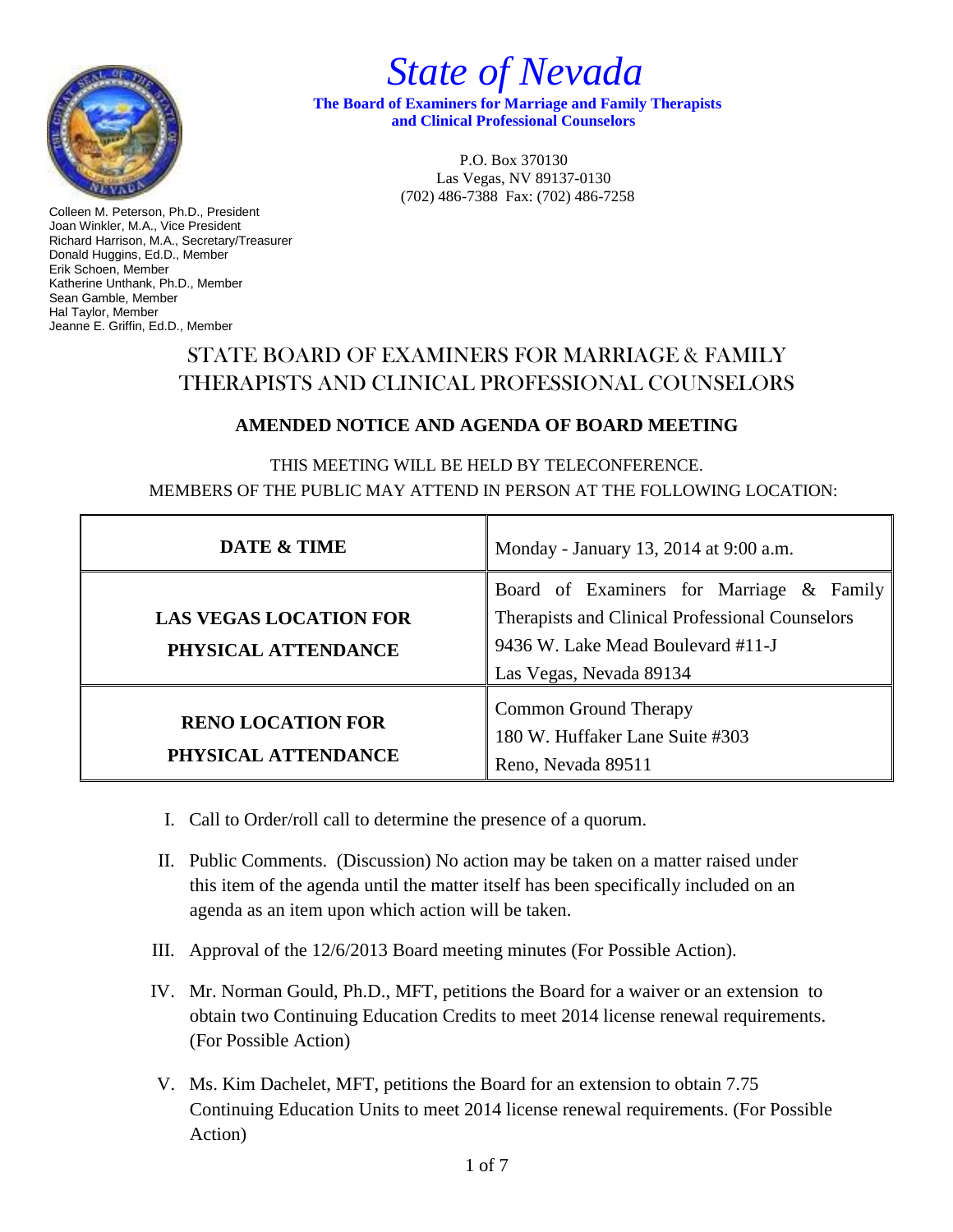

 *State of Nevada*

 **The Board of Examiners for Marriage and Family Therapists and Clinical Professional Counselors**

> P.O. Box 370130 Las Vegas, NV 89137-0130 (702) 486-7388 Fax: (702) 486-7258

Colleen M. Peterson, Ph.D., President Joan Winkler, M.A., Vice President Richard Harrison, M.A., Secretary/Treasurer Donald Huggins, Ed.D., Member Erik Schoen, Member Katherine Unthank, Ph.D., Member Sean Gamble, Member Hal Taylor, Member Jeanne E. Griffin, Ed.D., Member

## STATE BOARD OF EXAMINERS FOR MARRIAGE & FAMILY THERAPISTS AND CLINICAL PROFESSIONAL COUNSELORS

## **AMENDED NOTICE AND AGENDA OF BOARD MEETING**

THIS MEETING WILL BE HELD BY TELECONFERENCE. MEMBERS OF THE PUBLIC MAY ATTEND IN PERSON AT THE FOLLOWING LOCATION:

| DATE & TIME                                          | Monday - January 13, 2014 at 9:00 a.m.                                                                                                                      |
|------------------------------------------------------|-------------------------------------------------------------------------------------------------------------------------------------------------------------|
| <b>LAS VEGAS LOCATION FOR</b><br>PHYSICAL ATTENDANCE | Board of Examiners for Marriage & Family<br>Therapists and Clinical Professional Counselors<br>9436 W. Lake Mead Boulevard #11-J<br>Las Vegas, Nevada 89134 |
| <b>RENO LOCATION FOR</b><br>PHYSICAL ATTENDANCE      | Common Ground Therapy<br>180 W. Huffaker Lane Suite #303<br>Reno, Nevada 89511                                                                              |

- I. Call to Order/roll call to determine the presence of a quorum.
- II. Public Comments. (Discussion) No action may be taken on a matter raised under this item of the agenda until the matter itself has been specifically included on an agenda as an item upon which action will be taken.
- III. Approval of the 12/6/2013 Board meeting minutes (For Possible Action).
- IV. Mr. Norman Gould, Ph.D., MFT, petitions the Board for a waiver or an extension to obtain two Continuing Education Credits to meet 2014 license renewal requirements. (For Possible Action)
- V. Ms. Kim Dachelet, MFT, petitions the Board for an extension to obtain 7.75 Continuing Education Units to meet 2014 license renewal requirements. (For Possible Action)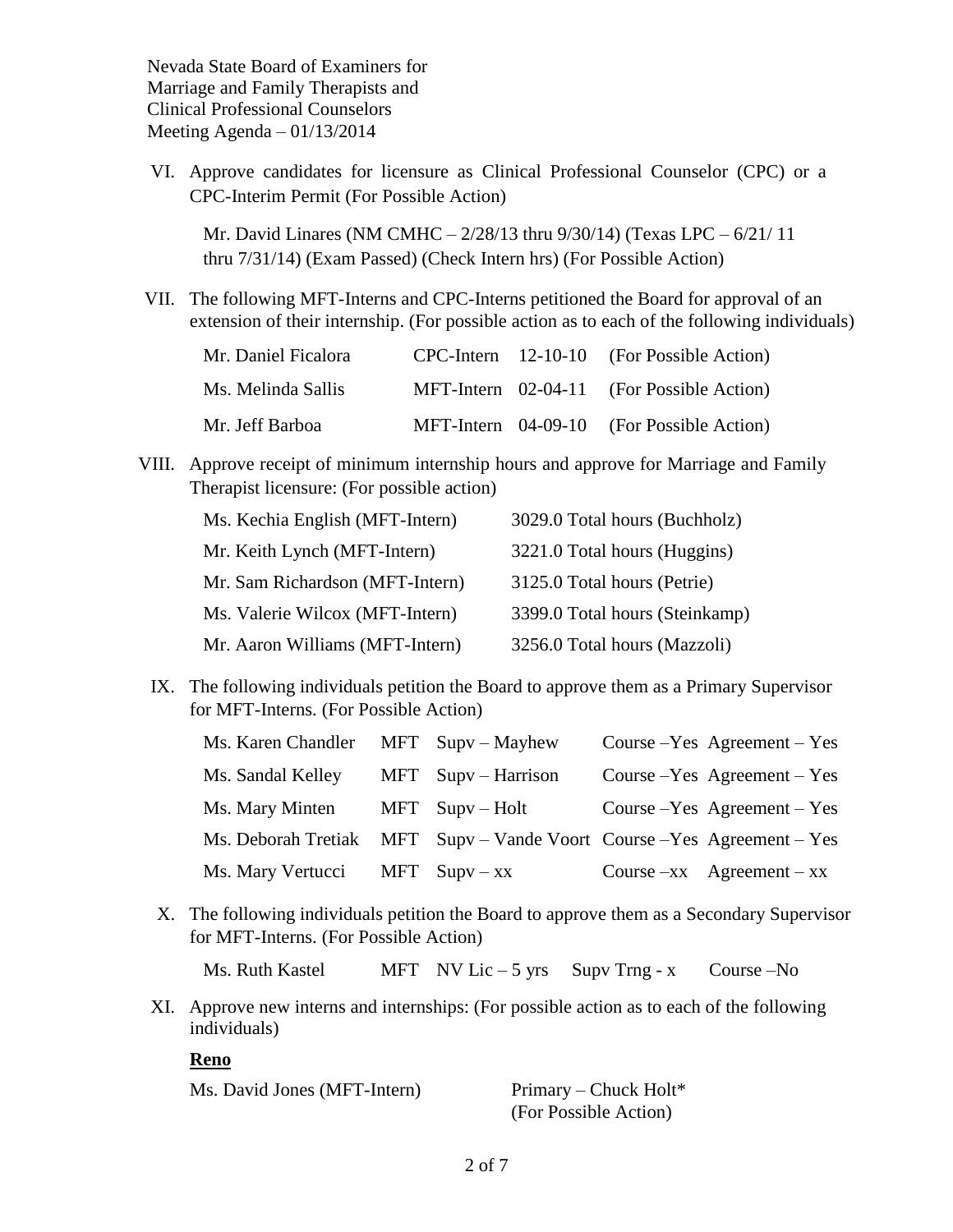VI. Approve candidates for licensure as Clinical Professional Counselor (CPC) or a CPC-Interim Permit (For Possible Action)

Mr. David Linares (NM CMHC – 2/28/13 thru 9/30/14) (Texas LPC – 6/21/ 11 thru 7/31/14) (Exam Passed) (Check Intern hrs) (For Possible Action)

VII. The following MFT-Interns and CPC-Interns petitioned the Board for approval of an extension of their internship. (For possible action as to each of the following individuals)

| Mr. Daniel Ficalora |  | $CPC-Intern$ 12-10-10 (For Possible Action) |
|---------------------|--|---------------------------------------------|
| Ms. Melinda Sallis  |  | MFT-Intern $02-04-11$ (For Possible Action) |
| Mr. Jeff Barboa     |  | MFT-Intern $04-09-10$ (For Possible Action) |

VIII. Approve receipt of minimum internship hours and approve for Marriage and Family Therapist licensure: (For possible action)

| Ms. Kechia English (MFT-Intern) | 3029.0 Total hours (Buchholz)  |
|---------------------------------|--------------------------------|
| Mr. Keith Lynch (MFT-Intern)    | 3221.0 Total hours (Huggins)   |
| Mr. Sam Richardson (MFT-Intern) | 3125.0 Total hours (Petrie)    |
| Ms. Valerie Wilcox (MFT-Intern) | 3399.0 Total hours (Steinkamp) |
| Mr. Aaron Williams (MFT-Intern) | 3256.0 Total hours (Mazzoli)   |

IX. The following individuals petition the Board to approve them as a Primary Supervisor for MFT-Interns. (For Possible Action)

| Ms. Karen Chandler MFT Supv – Mayhew                                    |                     | Course $-Yes$ Agreement – Yes |
|-------------------------------------------------------------------------|---------------------|-------------------------------|
| Ms. Sandal Kelley                                                       | MFT Supv – Harrison | Course $-Yes$ Agreement – Yes |
| Ms. Mary Minten                                                         | $MFT$ Supv – Holt   | Course $-Yes$ Agreement – Yes |
| Ms. Deborah Tretiak MFT Supv – Vande Voort Course – Yes Agreement – Yes |                     |                               |
| Ms. Mary Vertucci MFT $Supy - xx$                                       |                     | Course $-xx$ Agreement $-xx$  |

X. The following individuals petition the Board to approve them as a Secondary Supervisor for MFT-Interns. (For Possible Action)

| Ms. Ruth Kastel | MFT $NVIic-5$ yrs Supv Trng - x Course - No |  |
|-----------------|---------------------------------------------|--|
|                 |                                             |  |

XI. Approve new interns and internships: (For possible action as to each of the following individuals)

## **Reno**

| Ms. David Jones (MFT-Intern) | Primary – Chuck Holt* |
|------------------------------|-----------------------|
|                              | (For Possible Action) |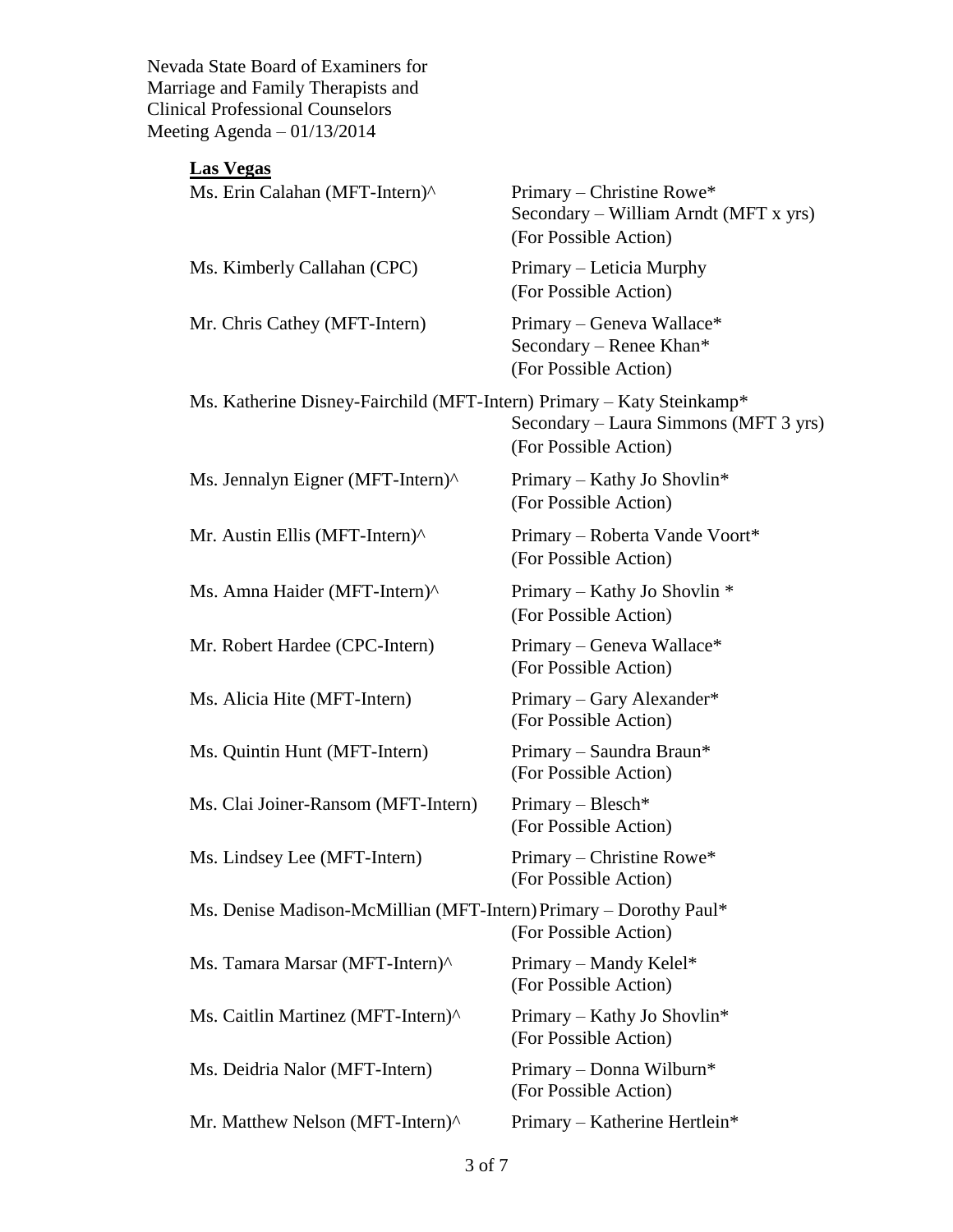## **Las Vegas**

| Ms. Erin Calahan (MFT-Intern)^                                        | Primary – Christine Rowe*<br>Secondary - William Arndt (MFT x yrs)<br>(For Possible Action) |
|-----------------------------------------------------------------------|---------------------------------------------------------------------------------------------|
| Ms. Kimberly Callahan (CPC)                                           | Primary – Leticia Murphy<br>(For Possible Action)                                           |
| Mr. Chris Cathey (MFT-Intern)                                         | Primary – Geneva Wallace*<br>Secondary – Renee Khan*<br>(For Possible Action)               |
| Ms. Katherine Disney-Fairchild (MFT-Intern) Primary - Katy Steinkamp* | Secondary – Laura Simmons (MFT 3 yrs)<br>(For Possible Action)                              |
| Ms. Jennalyn Eigner (MFT-Intern)^                                     | Primary – Kathy Jo Shovlin*<br>(For Possible Action)                                        |
| Mr. Austin Ellis (MFT-Intern)^                                        | Primary - Roberta Vande Voort*<br>(For Possible Action)                                     |
| Ms. Amna Haider (MFT-Intern)^                                         | Primary – Kathy Jo Shovlin *<br>(For Possible Action)                                       |
| Mr. Robert Hardee (CPC-Intern)                                        | Primary – Geneva Wallace*<br>(For Possible Action)                                          |
| Ms. Alicia Hite (MFT-Intern)                                          | Primary – Gary Alexander*<br>(For Possible Action)                                          |
| Ms. Quintin Hunt (MFT-Intern)                                         | Primary - Saundra Braun*<br>(For Possible Action)                                           |
| Ms. Clai Joiner-Ransom (MFT-Intern)                                   | Primary - Blesch*<br>(For Possible Action)                                                  |
| Ms. Lindsey Lee (MFT-Intern)                                          | Primary – Christine Rowe*<br>(For Possible Action)                                          |
| Ms. Denise Madison-McMillian (MFT-Intern) Primary - Dorothy Paul*     | (For Possible Action)                                                                       |
| Ms. Tamara Marsar (MFT-Intern)^                                       | Primary – Mandy Kelel*<br>(For Possible Action)                                             |
| Ms. Caitlin Martinez (MFT-Intern)^                                    | Primary – Kathy Jo Shovlin*<br>(For Possible Action)                                        |
| Ms. Deidria Nalor (MFT-Intern)                                        | Primary – Donna Wilburn*<br>(For Possible Action)                                           |
| Mr. Matthew Nelson (MFT-Intern)^                                      | Primary – Katherine Hertlein*                                                               |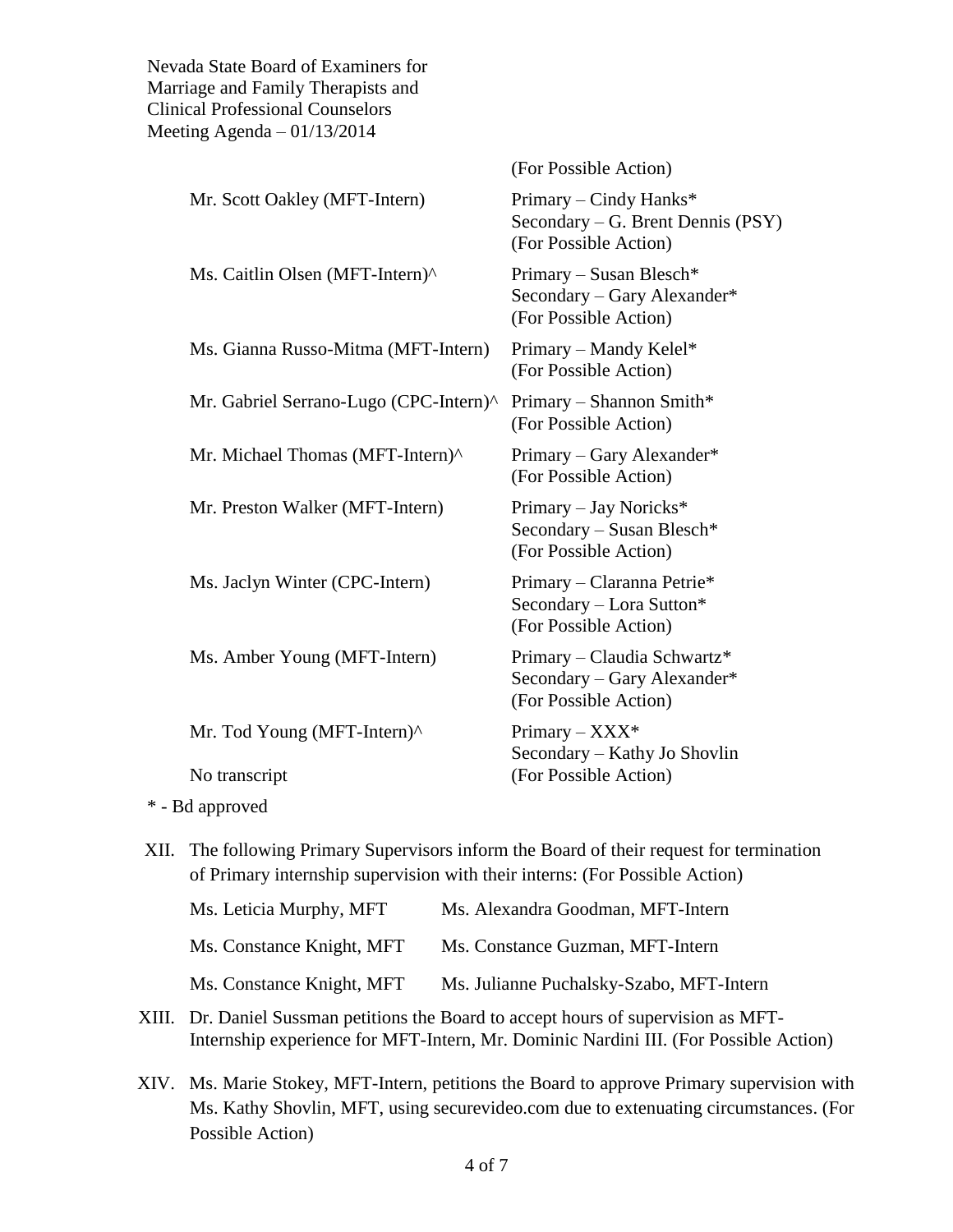|                                                                 | (For Possible Action)                                                                |
|-----------------------------------------------------------------|--------------------------------------------------------------------------------------|
| Mr. Scott Oakley (MFT-Intern)                                   | Primary – Cindy Hanks*<br>Secondary – G. Brent Dennis (PSY)<br>(For Possible Action) |
| Ms. Caitlin Olsen (MFT-Intern)^                                 | Primary – Susan Blesch*<br>Secondary - Gary Alexander*<br>(For Possible Action)      |
| Ms. Gianna Russo-Mitma (MFT-Intern)                             | Primary - Mandy Kelel*<br>(For Possible Action)                                      |
| Mr. Gabriel Serrano-Lugo (CPC-Intern)^ Primary - Shannon Smith* | (For Possible Action)                                                                |
| Mr. Michael Thomas (MFT-Intern)^                                | Primary – Gary Alexander*<br>(For Possible Action)                                   |
| Mr. Preston Walker (MFT-Intern)                                 | Primary - Jay Noricks*<br>Secondary – Susan Blesch*<br>(For Possible Action)         |
| Ms. Jaclyn Winter (CPC-Intern)                                  | Primary - Claranna Petrie*<br>Secondary - Lora Sutton*<br>(For Possible Action)      |
| Ms. Amber Young (MFT-Intern)                                    | Primary - Claudia Schwartz*<br>Secondary – Gary Alexander*<br>(For Possible Action)  |
| Mr. Tod Young (MFT-Intern)^                                     | Primary $-$ XXX*<br>Secondary - Kathy Jo Shovlin                                     |
| No transcript                                                   | (For Possible Action)                                                                |
| * - Bd approved                                                 |                                                                                      |

XII. The following Primary Supervisors inform the Board of their request for termination of Primary internship supervision with their interns: (For Possible Action)

| Ms. Leticia Murphy, MFT   | Ms. Alexandra Goodman, MFT-Intern        |
|---------------------------|------------------------------------------|
| Ms. Constance Knight, MFT | Ms. Constance Guzman, MFT-Intern         |
| Ms. Constance Knight, MFT | Ms. Julianne Puchalsky-Szabo, MFT-Intern |

XIII. Dr. Daniel Sussman petitions the Board to accept hours of supervision as MFT-Internship experience for MFT-Intern, Mr. Dominic Nardini III. (For Possible Action)

XIV. Ms. Marie Stokey, MFT-Intern, petitions the Board to approve Primary supervision with Ms. Kathy Shovlin, MFT, using securevideo.com due to extenuating circumstances. (For Possible Action)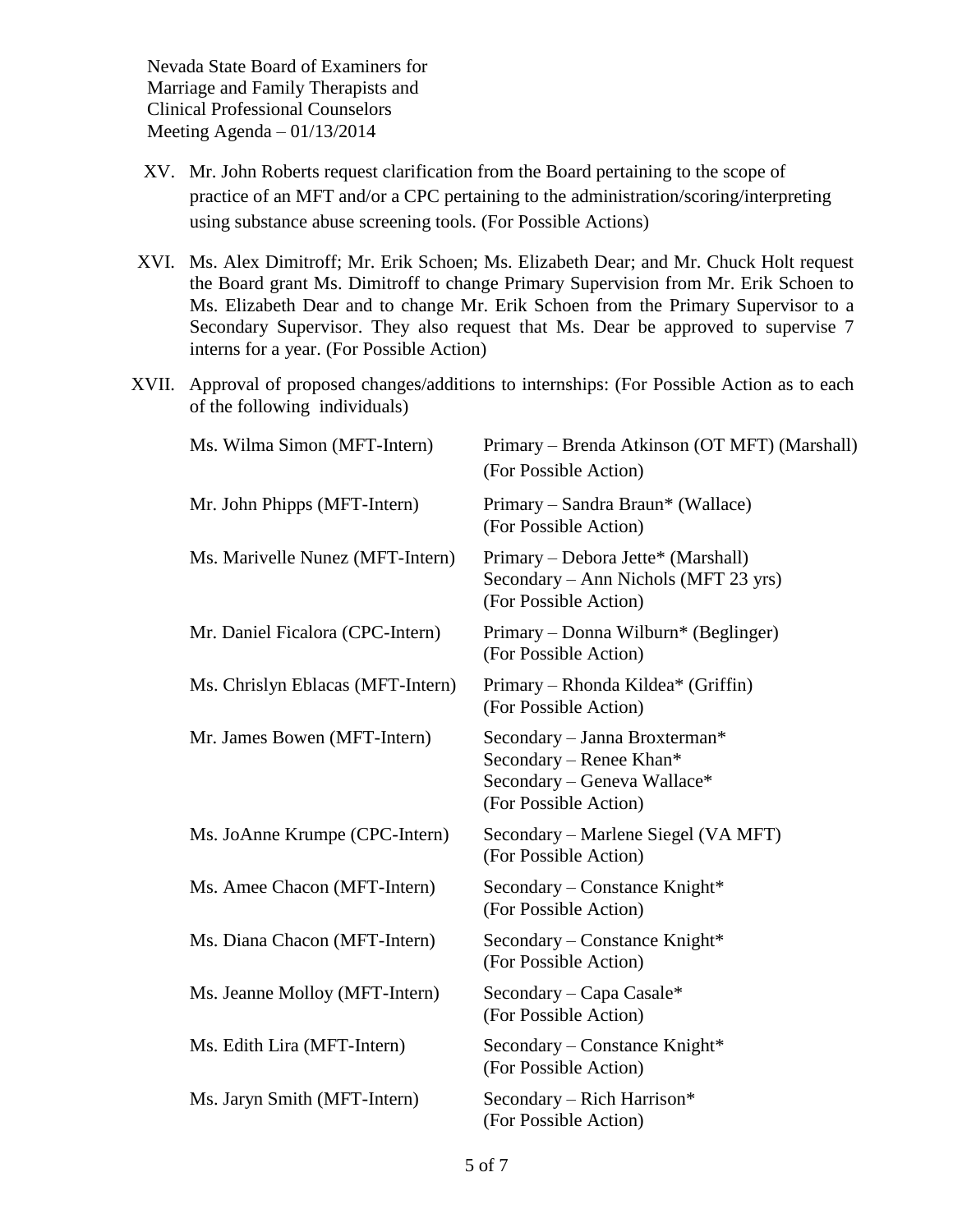- XV. Mr. John Roberts request clarification from the Board pertaining to the scope of practice of an MFT and/or a CPC pertaining to the administration/scoring/interpreting using substance abuse screening tools. (For Possible Actions)
- XVI. Ms. Alex Dimitroff; Mr. Erik Schoen; Ms. Elizabeth Dear; and Mr. Chuck Holt request the Board grant Ms. Dimitroff to change Primary Supervision from Mr. Erik Schoen to Ms. Elizabeth Dear and to change Mr. Erik Schoen from the Primary Supervisor to a Secondary Supervisor. They also request that Ms. Dear be approved to supervise 7 interns for a year. (For Possible Action)
- XVII. Approval of proposed changes/additions to internships: (For Possible Action as to each of the following individuals)

| Primary - Brenda Atkinson (OT MFT) (Marshall)<br>(For Possible Action)                                           |
|------------------------------------------------------------------------------------------------------------------|
| Primary – Sandra Braun* (Wallace)<br>(For Possible Action)                                                       |
| Primary – Debora Jette* (Marshall)<br>Secondary – Ann Nichols (MFT 23 yrs)<br>(For Possible Action)              |
| Primary – Donna Wilburn* (Beglinger)<br>(For Possible Action)                                                    |
| Primary – Rhonda Kildea* (Griffin)<br>(For Possible Action)                                                      |
| Secondary - Janna Broxterman*<br>Secondary – Renee Khan*<br>Secondary - Geneva Wallace*<br>(For Possible Action) |
| Secondary – Marlene Siegel (VA MFT)<br>(For Possible Action)                                                     |
| Secondary - Constance Knight*<br>(For Possible Action)                                                           |
| Secondary – Constance Knight*<br>(For Possible Action)                                                           |
| Secondary – Capa Casale*<br>(For Possible Action)                                                                |
| Secondary – Constance Knight*<br>(For Possible Action)                                                           |
| Secondary – Rich Harrison*<br>(For Possible Action)                                                              |
|                                                                                                                  |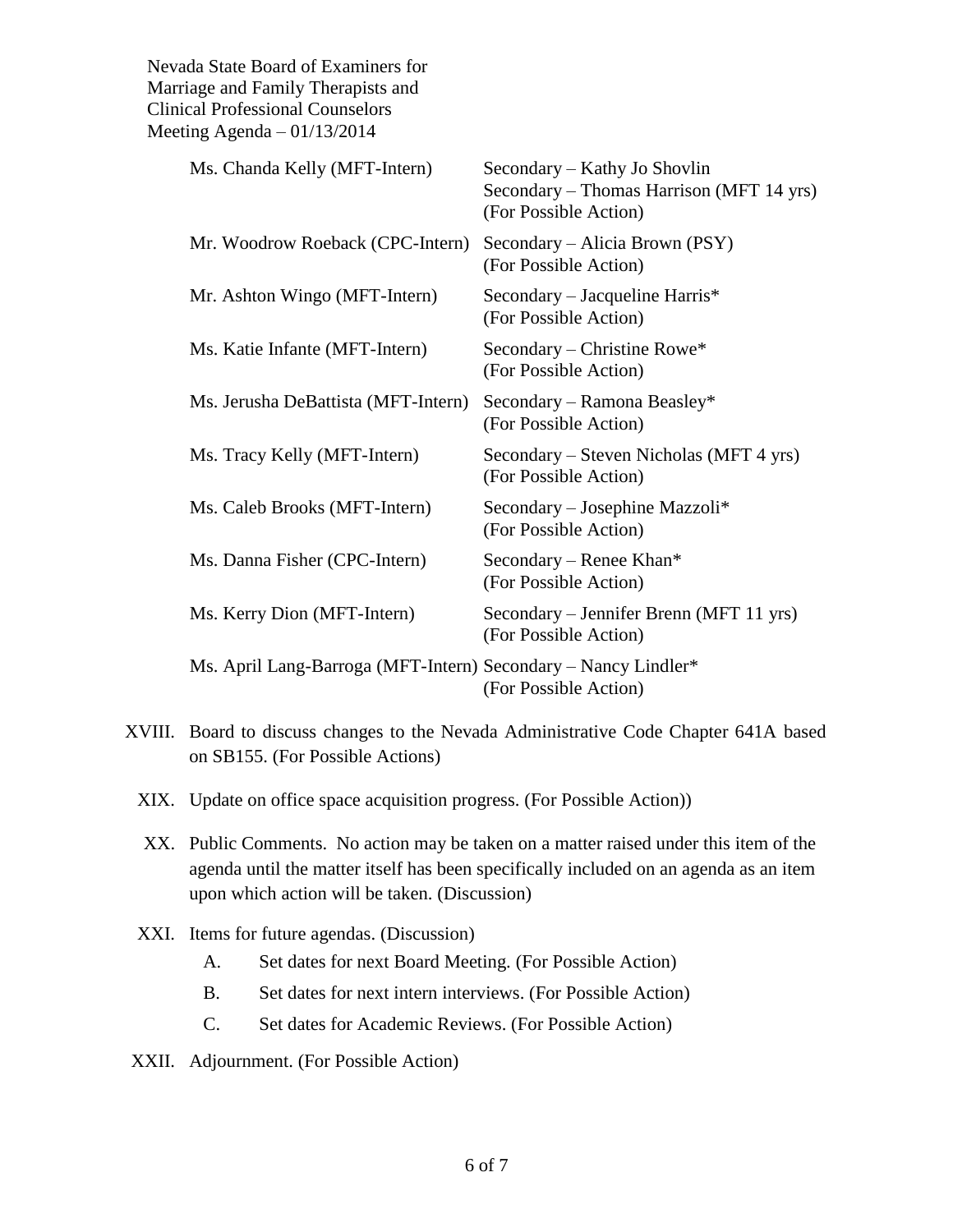| Ms. Chanda Kelly (MFT-Intern)                                  | Secondary – Kathy Jo Shovlin<br>Secondary – Thomas Harrison (MFT 14 yrs)<br>(For Possible Action) |
|----------------------------------------------------------------|---------------------------------------------------------------------------------------------------|
| Mr. Woodrow Roeback (CPC-Intern)                               | Secondary – Alicia Brown (PSY)<br>(For Possible Action)                                           |
| Mr. Ashton Wingo (MFT-Intern)                                  | Secondary – Jacqueline Harris*<br>(For Possible Action)                                           |
| Ms. Katie Infante (MFT-Intern)                                 | Secondary – Christine Rowe*<br>(For Possible Action)                                              |
| Ms. Jerusha DeBattista (MFT-Intern)                            | Secondary - Ramona Beasley*<br>(For Possible Action)                                              |
| Ms. Tracy Kelly (MFT-Intern)                                   | Secondary – Steven Nicholas (MFT 4 yrs)<br>(For Possible Action)                                  |
| Ms. Caleb Brooks (MFT-Intern)                                  | Secondary – Josephine Mazzoli*<br>(For Possible Action)                                           |
| Ms. Danna Fisher (CPC-Intern)                                  | Secondary – Renee Khan*<br>(For Possible Action)                                                  |
| Ms. Kerry Dion (MFT-Intern)                                    | Secondary – Jennifer Brenn (MFT 11 yrs)<br>(For Possible Action)                                  |
| Ms. April Lang-Barroga (MFT-Intern) Secondary - Nancy Lindler* | (For Possible Action)                                                                             |

- XVIII. Board to discuss changes to the Nevada Administrative Code Chapter 641A based on SB155. (For Possible Actions)
	- XIX. Update on office space acquisition progress. (For Possible Action))
	- XX. Public Comments. No action may be taken on a matter raised under this item of the agenda until the matter itself has been specifically included on an agenda as an item upon which action will be taken. (Discussion)
	- XXI. Items for future agendas. (Discussion)
		- A. Set dates for next Board Meeting. (For Possible Action)
		- B. Set dates for next intern interviews. (For Possible Action)
		- C. Set dates for Academic Reviews. (For Possible Action)
- XXII. Adjournment. (For Possible Action)